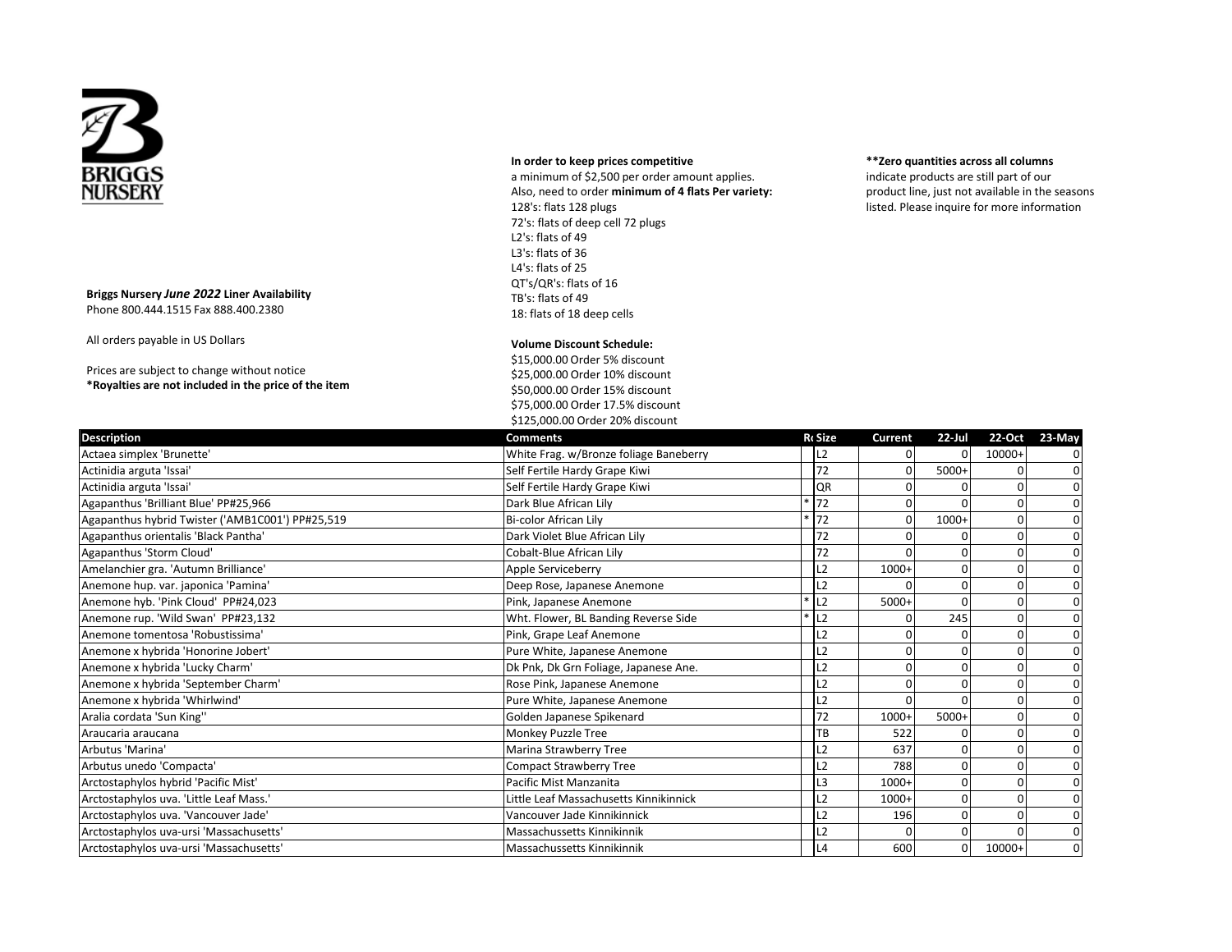

## **In order to keep prices competitive**

a minimum of \$2,500 per order amount applies. Also, need to order **minimum of 4 flats Per variety:** 128's: flats 128 plugs 72's: flats of deep cell 72 plugs L2's: flats of 49 L3's: flats of 36 L4's: flats of 25 QT's/QR's: flats of 16 TB's: flats of 49 18: flats of 18 deep cells

## **\*\*Zero quantities across all columns**

indicate products are still part of our product line, just not available in the seasons listed. Please inquire for more information

## **Briggs Nursery** *June 2022* **Liner Availability**  Phone 800.444.1515 Fax 888.400.2380

All orders payable in US Dollars

Prices are subject to change without notice **\*Royalties are not included in the price of the item**

## **Volume Discount Schedule:**

\$15,000.00 Order 5% discount \$25,000.00 Order 10% discount \$50,000.00 Order 15% discount \$75,000.00 Order 17.5% discount \$125,000.00 Order 20% discount

| <b>Description</b>                               | <b>Comments</b>                        | <b>R</b> cSize     | Current | $22$ -Jul    |              | 22-Oct 23-May |
|--------------------------------------------------|----------------------------------------|--------------------|---------|--------------|--------------|---------------|
| Actaea simplex 'Brunette'                        | White Frag. w/Bronze foliage Baneberry | L2                 |         |              | 10000+       |               |
| Actinidia arguta 'Issai'                         | Self Fertile Hardy Grape Kiwi          | 72                 | U       | 5000+        |              |               |
| Actinidia arguta 'Issai'                         | Self Fertile Hardy Grape Kiwi          | QR                 |         |              |              |               |
| Agapanthus 'Brilliant Blue' PP#25,966            | Dark Blue African Lily                 | 72                 |         |              |              |               |
| Agapanthus hybrid Twister ('AMB1C001') PP#25,519 | Bi-color African Lily                  | $*72$              | 0       | $1000+$      | $\Omega$     |               |
| Agapanthus orientalis 'Black Pantha'             | Dark Violet Blue African Lily          | 72                 |         |              | 0            |               |
| Agapanthus 'Storm Cloud'                         | Cobalt-Blue African Lily               | 72                 | U       |              | $\Omega$     |               |
| Amelanchier gra. 'Autumn Brilliance'             | Apple Serviceberry                     | L <sub>2</sub>     | $1000+$ | O            | $\Omega$     | 0             |
| Anemone hup. var. japonica 'Pamina'              | Deep Rose, Japanese Anemone            | L2                 |         |              | $\Omega$     | 0             |
| Anemone hyb. 'Pink Cloud' PP#24,023              | Pink, Japanese Anemone                 | $*$ L2             | $5000+$ | <sup>0</sup> | $\Omega$     |               |
| Anemone rup. 'Wild Swan' PP#23,132               | Wht. Flower, BL Banding Reverse Side   | $*$ L <sub>2</sub> |         | 245          | $\Omega$     |               |
| Anemone tomentosa 'Robustissima'                 | Pink, Grape Leaf Anemone               | L2                 |         |              | $\Omega$     | 0             |
| Anemone x hybrida 'Honorine Jobert'              | Pure White, Japanese Anemone           | L <sub>2</sub>     | U       |              | $\Omega$     |               |
| Anemone x hybrida 'Lucky Charm'                  | Dk Pnk, Dk Grn Foliage, Japanese Ane.  | L2                 |         |              | <sub>0</sub> | n             |
| Anemone x hybrida 'September Charm'              | Rose Pink, Japanese Anemone            | L2                 | U       |              |              |               |
| Anemone x hybrida 'Whirlwind'                    | Pure White, Japanese Anemone           | L <sub>2</sub>     | U       |              | 0            |               |
| Aralia cordata 'Sun King"                        | Golden Japanese Spikenard              | 72                 | $1000+$ | 5000+        | $\Omega$     |               |
| Araucaria araucana                               | Monkey Puzzle Tree                     | TВ                 | 522     |              | $\Omega$     |               |
| Arbutus 'Marina'                                 | Marina Strawberry Tree                 | L2                 | 637     |              |              |               |
| Arbutus unedo 'Compacta'                         | <b>Compact Strawberry Tree</b>         | L2                 | 788     |              |              |               |
| Arctostaphylos hybrid 'Pacific Mist'             | Pacific Mist Manzanita                 | L3                 | $1000+$ | $\Omega$     |              |               |
| Arctostaphylos uva. 'Little Leaf Mass.'          | Little Leaf Massachusetts Kinnikinnick | L2                 | $1000+$ | $\Omega$     |              |               |
| Arctostaphylos uva. 'Vancouver Jade'             | Vancouver Jade Kinnikinnick            | L2                 | 196     | $\Omega$     | $\Omega$     |               |
| Arctostaphylos uva-ursi 'Massachusetts'          | Massachussetts Kinnikinnik             | L2                 |         | $\Omega$     |              | 0             |
| Arctostaphylos uva-ursi 'Massachusetts'          | Massachussetts Kinnikinnik             | L4                 | 600     | $\Omega$     | 10000+       | $\Omega$      |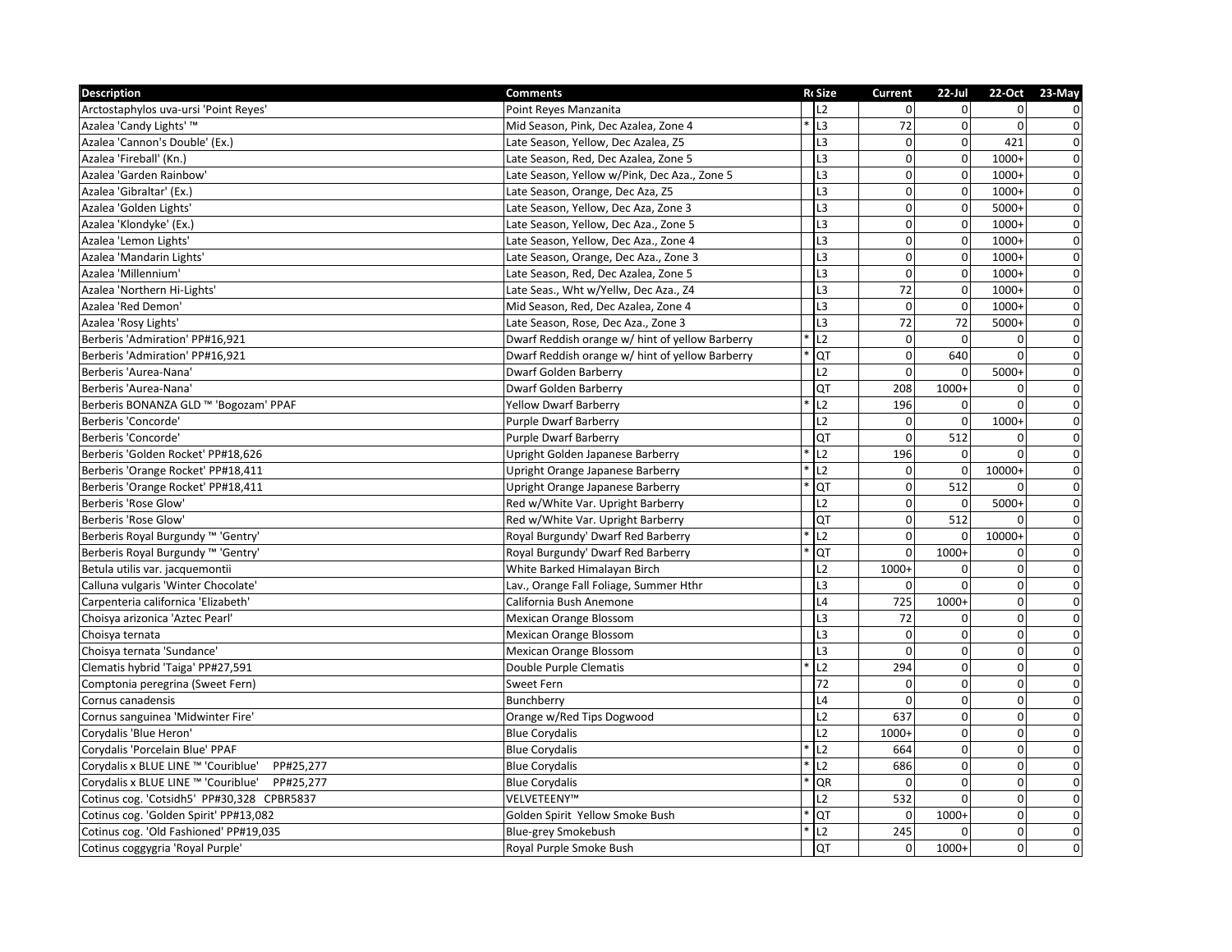| <b>Description</b>                            | <b>Comments</b>                                 | <b>RcSize</b>  | Current        | $22$ -Jul      |                | 22-Oct 23-May           |
|-----------------------------------------------|-------------------------------------------------|----------------|----------------|----------------|----------------|-------------------------|
| Arctostaphylos uva-ursi 'Point Reyes'         | Point Reyes Manzanita                           | 12             | $\Omega$       | $\Omega$       | $\Omega$       | $\mathbf 0$             |
| Azalea 'Candy Lights' ™                       | Mid Season, Pink, Dec Azalea, Zone 4            | L <sub>3</sub> | 72             | $\overline{0}$ | $\Omega$       | $\pmb{0}$               |
| Azalea 'Cannon's Double' (Ex.)                | Late Season, Yellow, Dec Azalea, Z5             | L3             | $\Omega$       | $\overline{0}$ | 421            | $\mathbf 0$             |
| Azalea 'Fireball' (Kn.)                       | Late Season, Red, Dec Azalea, Zone 5            | L <sub>3</sub> | $\overline{0}$ | $\mathbf 0$    | $1000+$        | $\mathbf 0$             |
| Azalea 'Garden Rainbow'                       | Late Season, Yellow w/Pink, Dec Aza., Zone 5    | L3             | $\Omega$       | $\overline{0}$ | $1000+$        | $\overline{\mathbf{0}}$ |
| Azalea 'Gibraltar' (Ex.)                      | Late Season, Orange, Dec Aza, Z5                | L3             | $\Omega$       | $\overline{0}$ | $1000+$        | $\pmb{0}$               |
| Azalea 'Golden Lights'                        | Late Season, Yellow, Dec Aza, Zone 3            | L <sub>3</sub> | $\mathbf 0$    | $\overline{0}$ | $5000+$        | $\pmb{0}$               |
| Azalea 'Klondyke' (Ex.)                       | Late Season, Yellow, Dec Aza., Zone 5           | L <sub>3</sub> | $\Omega$       | $\overline{0}$ | $1000+$        | $\pmb{0}$               |
| Azalea 'Lemon Lights'                         | Late Season, Yellow, Dec Aza., Zone 4           | L <sub>3</sub> | $\mathbf{0}$   | $\overline{0}$ | $1000+$        | $\overline{0}$          |
| Azalea 'Mandarin Lights'                      | Late Season, Orange, Dec Aza., Zone 3           | L3             | $\mathbf 0$    | $\overline{0}$ | $1000+$        | $\overline{0}$          |
| Azalea 'Millennium'                           | Late Season, Red, Dec Azalea, Zone 5            | L <sub>3</sub> | $\Omega$       | $\Omega$       | $1000+$        | $\pmb{0}$               |
| Azalea 'Northern Hi-Lights'                   | Late Seas., Wht w/Yellw, Dec Aza., Z4           | L <sub>3</sub> | 72             | $\overline{0}$ | $1000+$        | $\mathbf 0$             |
| Azalea 'Red Demon'                            | Mid Season, Red, Dec Azalea, Zone 4             | L3             | $\mathbf 0$    | $\overline{0}$ | $1000+$        | $\pmb{0}$               |
| Azalea 'Rosy Lights'                          | Late Season, Rose, Dec Aza., Zone 3             | L <sub>3</sub> | 72             | 72             | 5000+          | $\pmb{0}$               |
| Berberis 'Admiration' PP#16,921               | Dwarf Reddish orange w/ hint of yellow Barberry | L2             | $\Omega$       | $\Omega$       | 0              | $\overline{0}$          |
| Berberis 'Admiration' PP#16,921               | Dwarf Reddish orange w/ hint of yellow Barberry | QT             | $\mathbf{0}$   | 640            | 0              | $\overline{0}$          |
| Berberis 'Aurea-Nana'                         | <b>Dwarf Golden Barberry</b>                    | L2             | $\Omega$       | $\mathbf 0$    | 5000+          | $\pmb{0}$               |
| Berberis 'Aurea-Nana'                         | <b>Dwarf Golden Barberry</b>                    | QT             | 208            | 1000+          | 0              | $\pmb{0}$               |
| Berberis BONANZA GLD ™ 'Bogozam' PPAF         | <b>Yellow Dwarf Barberry</b>                    | L2             | 196            | $\Omega$       | $\Omega$       | $\overline{\textbf{0}}$ |
| Berberis 'Concorde'                           | <b>Purple Dwarf Barberry</b>                    | L2             | $\overline{0}$ | $\Omega$       | $1000+$        | $\overline{0}$          |
| Berberis 'Concorde'                           | <b>Purple Dwarf Barberry</b>                    | БJ             | $\Omega$       | 512            | 0              | $\overline{0}$          |
| Berberis 'Golden Rocket' PP#18,626            | Upright Golden Japanese Barberry                | L2             | 196            | $\Omega$       | $\Omega$       | $\overline{0}$          |
| Berberis 'Orange Rocket' PP#18,411            | Upright Orange Japanese Barberry                | L2             | $\overline{0}$ | $\Omega$       | 10000+         | $\mathbf 0$             |
| Berberis 'Orange Rocket' PP#18,411            | Upright Orange Japanese Barberry                | QT             | $\mathbf{0}$   | 512            | U              | $\overline{\mathbf{0}}$ |
| Berberis 'Rose Glow'                          | Red w/White Var. Upright Barberry               | L2             | $\Omega$       | $\Omega$       | 5000+          | $\mathbf 0$             |
| Berberis 'Rose Glow'                          | Red w/White Var. Upright Barberry               | QT             | $\mathbf 0$    | 512            | O              | $\overline{\mathbf{0}}$ |
| Berberis Royal Burgundy ™ 'Gentry'            | Royal Burgundy' Dwarf Red Barberry              | L2             | $\mathbf 0$    | $\mathbf 0$    | 10000+         | $\overline{0}$          |
| Berberis Royal Burgundy ™ 'Gentry'            | Royal Burgundy' Dwarf Red Barberry              | QT             | $\Omega$       | $1000+$        | 0              | $\overline{0}$          |
| Betula utilis var. jacquemontii               | White Barked Himalayan Birch                    | L2             | $1000+$        | $\overline{0}$ | 0              | $\overline{\mathbf{0}}$ |
| Calluna vulgaris 'Winter Chocolate'           | Lav., Orange Fall Foliage, Summer Hthr          | L3             | $\Omega$       | $\Omega$       | $\overline{0}$ | $\mathsf{o}$            |
| Carpenteria californica 'Elizabeth'           | California Bush Anemone                         | L4             | 725            | $1000+$        | $\overline{0}$ | $\overline{\textbf{0}}$ |
| Choisya arizonica 'Aztec Pearl'               | Mexican Orange Blossom                          | L3             | 72             | $\Omega$       | $\mathbf 0$    | $\overline{0}$          |
| Choisya ternata                               | <b>Mexican Orange Blossom</b>                   | L3             | $\Omega$       | $\overline{0}$ | $\mathbf 0$    | $\overline{0}$          |
| Choisya ternata 'Sundance'                    | <b>Mexican Orange Blossom</b>                   | L3             | $\Omega$       | $\Omega$       | 0              | $\pmb{0}$               |
| Clematis hybrid 'Taiga' PP#27,591             | Double Purple Clematis                          | L2             | 294            | $\overline{0}$ | $\overline{0}$ | $\overline{0}$          |
| Comptonia peregrina (Sweet Fern)              | Sweet Fern                                      | 72             | $\Omega$       | $\overline{0}$ | $\overline{0}$ | $\overline{\textbf{0}}$ |
| Cornus canadensis                             | Bunchberry                                      | L4             | $\Omega$       | $\overline{0}$ | $\mathbf 0$    | $\pmb{0}$               |
| Cornus sanguinea 'Midwinter Fire'             | Orange w/Red Tips Dogwood                       | L2             | 637            | $\overline{0}$ | 0              | $\overline{0}$          |
| Corydalis 'Blue Heron'                        | <b>Blue Corydalis</b>                           | L2             | $1000+$        | $\Omega$       | $\mathbf 0$    | $\overline{0}$          |
| Corydalis 'Porcelain Blue' PPAF               | <b>Blue Corydalis</b>                           | L2             | 664            | $\overline{0}$ | $\overline{0}$ | $\overline{0}$          |
| Corydalis x BLUE LINE ™ 'Couriblue' PP#25,277 | <b>Blue Corydalis</b>                           | L2             | 686            | $\Omega$       | $\overline{0}$ | $\overline{\textbf{0}}$ |
| Corydalis x BLUE LINE ™ 'Couriblue' PP#25,277 | <b>Blue Corydalis</b>                           | QR             | $\Omega$       | $\overline{0}$ | $\overline{0}$ | $\mathbf 0$             |
| Cotinus cog. 'Cotsidh5' PP#30,328 CPBR5837    | VELVETEENY™                                     | L2             | 532            | $\overline{0}$ | $\overline{0}$ | $\pmb{0}$               |
| Cotinus cog. 'Golden Spirit' PP#13,082        | Golden Spirit Yellow Smoke Bush                 | QT             | $\Omega$       | $1000+$        | 0              | $\pmb{0}$               |
| Cotinus cog. 'Old Fashioned' PP#19,035        | Blue-grey Smokebush                             | L2             | 245            | 0              | $\mathbf 0$    | $\pmb{0}$               |
| Cotinus coggygria 'Royal Purple'              | Royal Purple Smoke Bush                         | QT             | $\overline{0}$ | $1000+$        | $\overline{0}$ | $\mathbf 0$             |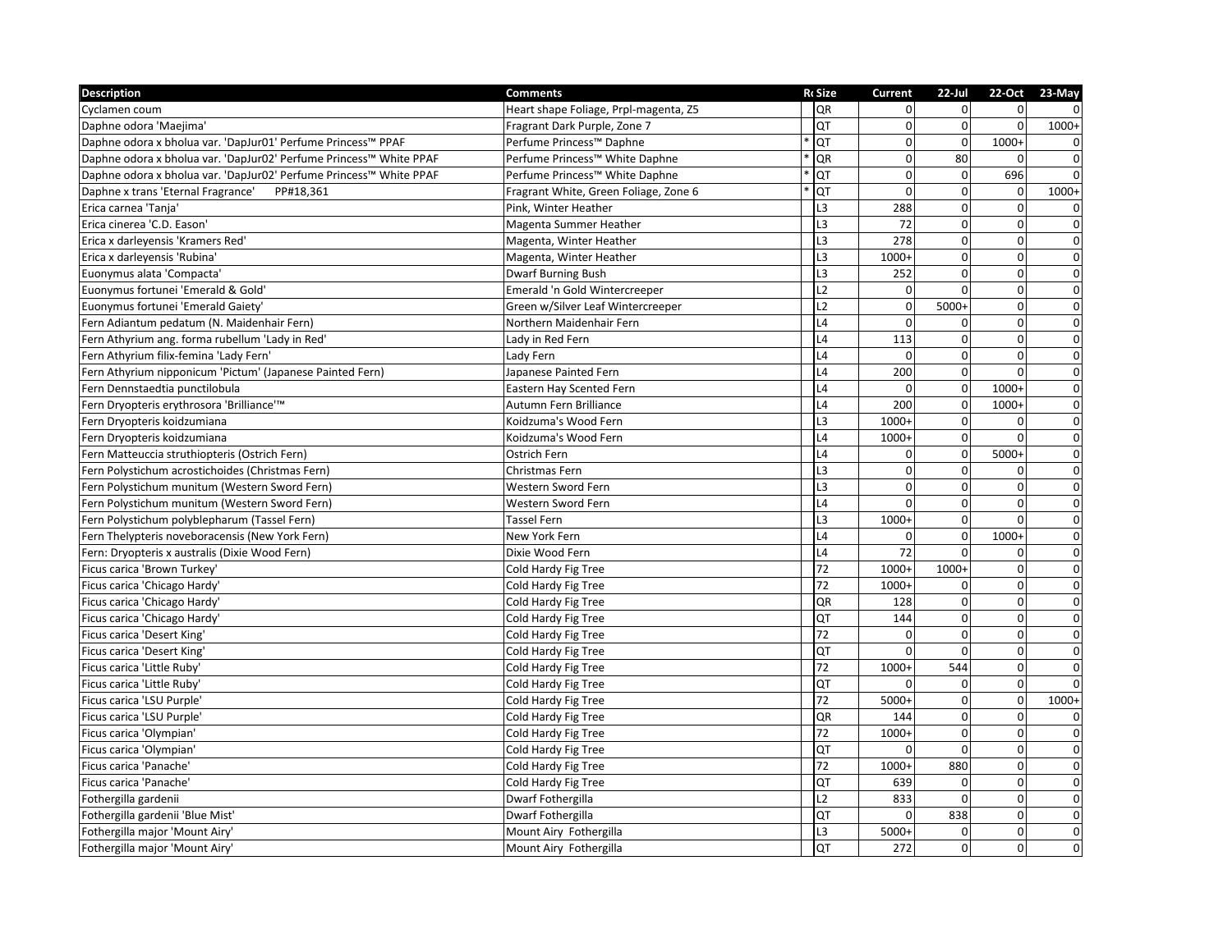| <b>Description</b>                                                 | <b>Comments</b>                       | <b>RcSize</b>  | Current        | $22$ -Jul      |              | 22-Oct 23-May  |
|--------------------------------------------------------------------|---------------------------------------|----------------|----------------|----------------|--------------|----------------|
| Cyclamen coum                                                      | Heart shape Foliage, Prpl-magenta, Z5 | QR             | $\Omega$       | $\Omega$       | $\Omega$     |                |
| Daphne odora 'Maejima'                                             | Fragrant Dark Purple, Zone 7          | QT             | $\overline{0}$ | $\mathbf{0}$   | $\mathbf 0$  | $1000+$        |
| Daphne odora x bholua var. 'DapJur01' Perfume Princess™ PPAF       | Perfume Princess™ Daphne              | QT             | $\Omega$       | $\Omega$       | $1000+$      | $\mathbf 0$    |
| Daphne odora x bholua var. 'DapJur02' Perfume Princess™ White PPAF | Perfume Princess™ White Daphne        | QR             | $\Omega$       | 80             | $\Omega$     | $\pmb{0}$      |
| Daphne odora x bholua var. 'DapJur02' Perfume Princess™ White PPAF | Perfume Princess™ White Daphne        | QT             | $\Omega$       | $\Omega$       | 696          | $\mathbf 0$    |
| Daphne x trans 'Eternal Fragrance'<br>PP#18,361                    | Fragrant White, Green Foliage, Zone 6 | QT             | $\Omega$       | $\mathbf{0}$   | $\mathbf 0$  | $1000+$        |
| Erica carnea 'Tanja'                                               | Pink, Winter Heather                  | L <sub>3</sub> | 288            | $\mathbf 0$    | $\pmb{0}$    | 0              |
| Erica cinerea 'C.D. Eason'                                         | Magenta Summer Heather                | L <sub>3</sub> | 72             | $\Omega$       | $\mathbf 0$  | $\mathbf 0$    |
| Erica x darleyensis 'Kramers Red'                                  | Magenta, Winter Heather               | L3             | 278            | $\mathbf{0}$   | $\pmb{0}$    | $\pmb{0}$      |
| Erica x darleyensis 'Rubina'                                       | Magenta, Winter Heather               | L3             | $1000+$        | $\Omega$       | $\pmb{0}$    | $\overline{0}$ |
| Euonymus alata 'Compacta'                                          | <b>Dwarf Burning Bush</b>             | L <sub>3</sub> | 252            | $\Omega$       | $\mathbf 0$  | $\mathbf 0$    |
| Euonymus fortunei 'Emerald & Gold'                                 | Emerald 'n Gold Wintercreeper         | L2             | $\Omega$       | $\Omega$       | $\mathbf 0$  | $\pmb{0}$      |
| Euonymus fortunei 'Emerald Gaiety'                                 | Green w/Silver Leaf Wintercreeper     | L2             | $\mathbf 0$    | 5000+          | $\pmb{0}$    | $\pmb{0}$      |
| Fern Adiantum pedatum (N. Maidenhair Fern)                         | Northern Maidenhair Fern              | L4             | $\Omega$       | $\Omega$       | $\mathbf 0$  | $\overline{0}$ |
| Fern Athyrium ang. forma rubellum 'Lady in Red'                    | Lady in Red Fern                      | L4             | 113            | $\Omega$       | $\mathbf 0$  | $\overline{0}$ |
| Fern Athyrium filix-femina 'Lady Fern'                             | Lady Fern                             | L4             | $\Omega$       | $\mathbf{0}$   | $\pmb{0}$    | $\overline{0}$ |
| Fern Athyrium nipponicum 'Pictum' (Japanese Painted Fern)          | Japanese Painted Fern                 | L4             | 200            | $\Omega$       | $\Omega$     | $\mathbf 0$    |
| Fern Dennstaedtia punctilobula                                     | Eastern Hay Scented Fern              | L4             | $\Omega$       | $\mathbf{0}$   | $1000+$      | $\pmb{0}$      |
| Fern Dryopteris erythrosora 'Brilliance'™                          | Autumn Fern Brilliance                | L4             | 200            | $\mathbf 0$    | 1000+        | $\pmb{0}$      |
| Fern Dryopteris koidzumiana                                        | Koidzuma's Wood Fern                  | L <sub>3</sub> | $1000+$        | $\Omega$       | 0            | $\pmb{0}$      |
| Fern Dryopteris koidzumiana                                        | Koidzuma's Wood Fern                  | L4             | $1000+$        | $\mathbf{0}$   | 0            | $\pmb{0}$      |
| Fern Matteuccia struthiopteris (Ostrich Fern)                      | Ostrich Fern                          | L4             | $\Omega$       | $\mathbf{0}$   | $5000+$      | $\overline{0}$ |
| Fern Polystichum acrostichoides (Christmas Fern)                   | Christmas Fern                        | L3             | $\Omega$       | $\mathbf{0}$   | $\Omega$     | $\pmb{0}$      |
| Fern Polystichum munitum (Western Sword Fern)                      | Western Sword Fern                    | L3             | $\Omega$       | $\Omega$       | $\mathbf 0$  | $\overline{0}$ |
| Fern Polystichum munitum (Western Sword Fern)                      | Western Sword Fern                    | L4             | $\Omega$       | $\Omega$       | $\mathbf 0$  | $\pmb{0}$      |
| Fern Polystichum polyblepharum (Tassel Fern)                       | <b>Tassel Fern</b>                    | L <sub>3</sub> | $1000+$        | $\mathbf{0}$   | $\mathbf 0$  | $\overline{0}$ |
| Fern Thelypteris noveboracensis (New York Fern)                    | New York Fern                         | L4             | $\Omega$       | $\mathbf 0$    | $1000+$      | $\pmb{0}$      |
| Fern: Dryopteris x australis (Dixie Wood Fern)                     | Dixie Wood Fern                       | L4             | 72             | $\Omega$       | 0            | $\pmb{0}$      |
| Ficus carica 'Brown Turkey'                                        | Cold Hardy Fig Tree                   | 72             | 1000+          | $1000+$        | $\pmb{0}$    | $\pmb{0}$      |
| Ficus carica 'Chicago Hardy'                                       | Cold Hardy Fig Tree                   | 72             | $1000+$        | $\Omega$       | $\mathbf 0$  | $\overline{0}$ |
| Ficus carica 'Chicago Hardy'                                       | Cold Hardy Fig Tree                   | QR             | 128            | $\overline{0}$ | $\pmb{0}$    | $\pmb{0}$      |
| Ficus carica 'Chicago Hardy'                                       | Cold Hardy Fig Tree                   | QT             | 144            | $\Omega$       | $\mathbf 0$  | $\pmb{0}$      |
| Ficus carica 'Desert King'                                         | Cold Hardy Fig Tree                   | 72             | $\Omega$       | $\Omega$       | $\pmb{0}$    | $\pmb{0}$      |
| Ficus carica 'Desert King'                                         | Cold Hardy Fig Tree                   | QT             | $\Omega$       | $\mathbf 0$    | $\pmb{0}$    | $\pmb{0}$      |
| Ficus carica 'Little Ruby'                                         | Cold Hardy Fig Tree                   | 72             | $1000+$        | 544            | $\Omega$     | $\pmb{0}$      |
| Ficus carica 'Little Ruby'                                         | Cold Hardy Fig Tree                   | QT             | $\Omega$       | $\overline{0}$ | $\mathbf 0$  | $\pmb{0}$      |
| Ficus carica 'LSU Purple'                                          | Cold Hardy Fig Tree                   | 72             | $5000+$        | $\mathbf{0}$   | $\pmb{0}$    | 1000+          |
| Ficus carica 'LSU Purple'                                          | Cold Hardy Fig Tree                   | QR             | 144            | $\Omega$       | $\pmb{0}$    | 0              |
| Ficus carica 'Olympian'                                            | Cold Hardy Fig Tree                   | 72             | 1000+          | $\mathbf 0$    | $\mathbf 0$  | $\pmb{0}$      |
| Ficus carica 'Olympian'                                            | Cold Hardy Fig Tree                   | QT             | $\Omega$       | $\Omega$       | $\mathbf 0$  | $\mathbf 0$    |
| Ficus carica 'Panache'                                             | Cold Hardy Fig Tree                   | 72             | 1000+          | 880            | $\pmb{0}$    | $\overline{0}$ |
| Ficus carica 'Panache'                                             | Cold Hardy Fig Tree                   | QT             | 639            | $\overline{0}$ | $\mathbf 0$  | $\pmb{0}$      |
| Fothergilla gardenii                                               | Dwarf Fothergilla                     | L2             | 833            | $\Omega$       | $\mathbf 0$  | $\pmb{0}$      |
| Fothergilla gardenii 'Blue Mist'                                   | Dwarf Fothergilla                     | <b>QT</b>      | $\Omega$       | 838            | 0            | $\pmb{0}$      |
| Fothergilla major 'Mount Airy'                                     | Mount Airy Fothergilla                | L <sub>3</sub> | 5000+          | $\overline{0}$ | $\mathbf 0$  | $\mathbf 0$    |
| Fothergilla major 'Mount Airy'                                     | Mount Airy Fothergilla                | QT             | 272            | $\overline{0}$ | $\mathbf{0}$ | $\mathbf 0$    |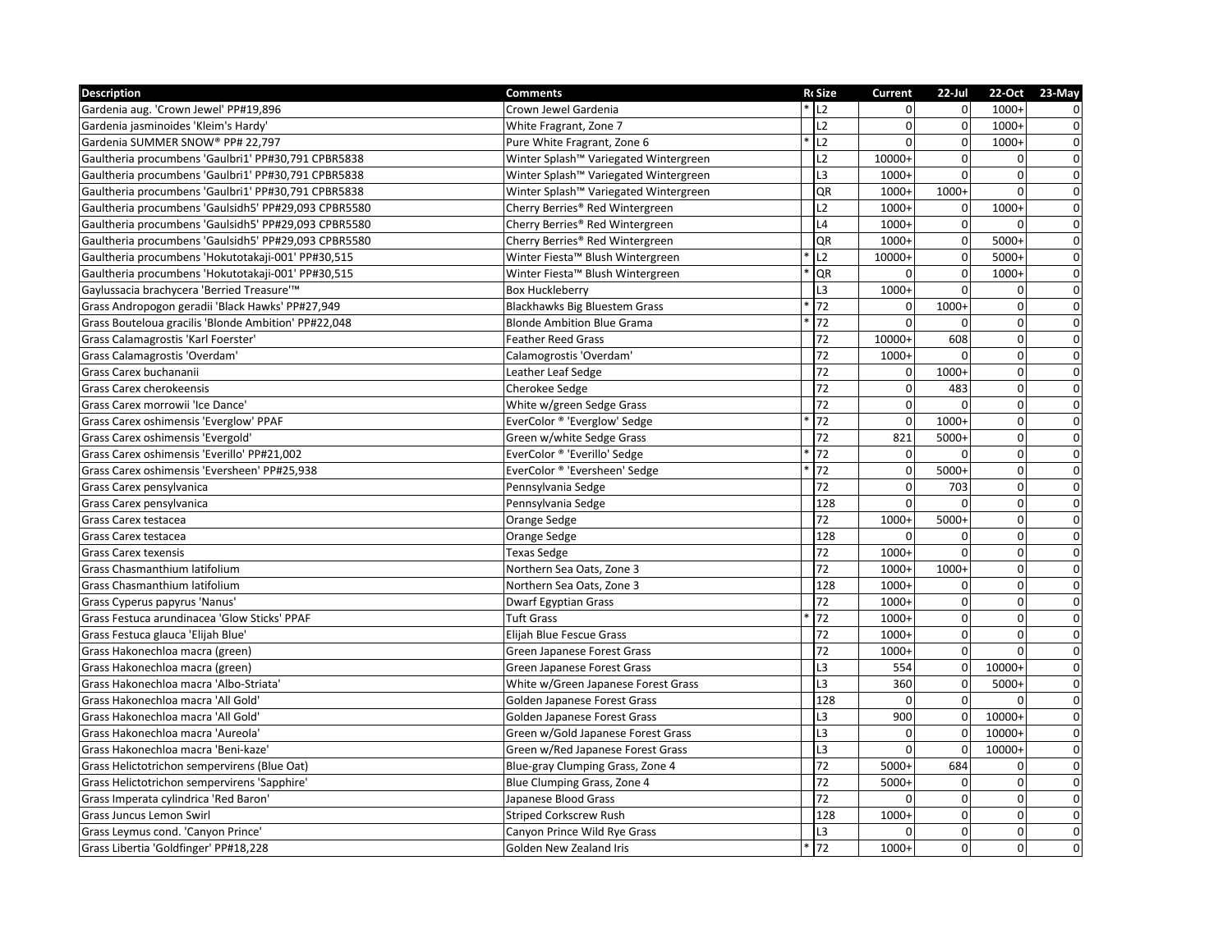| Description                                          | <b>Comments</b>                       | <b>RcSize</b>      | Current        | $22$ -Jul      |                | 22-Oct 23-May           |
|------------------------------------------------------|---------------------------------------|--------------------|----------------|----------------|----------------|-------------------------|
| Gardenia aug. 'Crown Jewel' PP#19,896                | Crown Jewel Gardenia                  | $*$ L <sub>2</sub> | $\Omega$       | $\Omega$       | $1000+$        | $\mathbf 0$             |
| Gardenia jasminoides 'Kleim's Hardy'                 | White Fragrant, Zone 7                | L2                 | $\overline{0}$ | $\overline{0}$ | $1000+$        | $\mathbf 0$             |
| Gardenia SUMMER SNOW® PP# 22,797                     | Pure White Fragrant, Zone 6           | L2                 | $\Omega$       | $\overline{0}$ | $1000+$        | $\mathbf 0$             |
| Gaultheria procumbens 'Gaulbri1' PP#30,791 CPBR5838  | Winter Splash™ Variegated Wintergreen | L2                 | 10000+         | $\Omega$       | 0              | $\mathbf 0$             |
| Gaultheria procumbens 'Gaulbri1' PP#30,791 CPBR5838  | Winter Splash™ Variegated Wintergreen | L3                 | $1000+$        | $\Omega$       | $\mathbf 0$    | $\overline{0}$          |
| Gaultheria procumbens 'Gaulbri1' PP#30,791 CPBR5838  | Winter Splash™ Variegated Wintergreen | QR                 | 1000+          | $1000+$        | $\mathbf 0$    | $\mathbf 0$             |
| Gaultheria procumbens 'Gaulsidh5' PP#29,093 CPBR5580 | Cherry Berries® Red Wintergreen       | L2                 | $1000+$        | $\overline{0}$ | $1000+$        | $\pmb{0}$               |
| Gaultheria procumbens 'Gaulsidh5' PP#29,093 CPBR5580 | Cherry Berries® Red Wintergreen       | L4                 | $1000+$        | $\overline{0}$ | $\Omega$       | $\overline{\mathbf{0}}$ |
| Gaultheria procumbens 'Gaulsidh5' PP#29,093 CPBR5580 | Cherry Berries® Red Wintergreen       | QR                 | 1000+          | $\overline{0}$ | 5000+          | $\overline{0}$          |
| Gaultheria procumbens 'Hokutotakaji-001' PP#30,515   | Winter Fiesta™ Blush Wintergreen      | L2                 | 10000+         | $\Omega$       | $5000+$        | $\overline{0}$          |
| Gaultheria procumbens 'Hokutotakaji-001' PP#30,515   | Winter Fiesta™ Blush Wintergreen      | QR                 | $\Omega$       | $\Omega$       | $1000+$        | $\pmb{0}$               |
| Gaylussacia brachycera 'Berried Treasure'™           | <b>Box Huckleberry</b>                | L <sub>3</sub>     | $1000+$        | $\Omega$       | $\mathbf 0$    | $\mathbf 0$             |
| Grass Andropogon geradii 'Black Hawks' PP#27,949     | <b>Blackhawks Big Bluestem Grass</b>  | 72                 | $\overline{0}$ | 1000+          | $\overline{0}$ | $\pmb{0}$               |
| Grass Bouteloua gracilis 'Blonde Ambition' PP#22,048 | <b>Blonde Ambition Blue Grama</b>     | 72                 | $\Omega$       | $\Omega$       | $\overline{0}$ | $\overline{0}$          |
| Grass Calamagrostis 'Karl Foerster'                  | <b>Feather Reed Grass</b>             | 72                 | 10000+         | 608            | $\mathbf 0$    | $\overline{0}$          |
| Grass Calamagrostis 'Overdam'                        | Calamogrostis 'Overdam'               | 72                 | $1000+$        | $\Omega$       | $\mathbf 0$    | $\overline{0}$          |
| Grass Carex buchananii                               | Leather Leaf Sedge                    | 72                 | $\Omega$       | 1000+          | $\mathbf 0$    | $\overline{0}$          |
| Grass Carex cherokeensis                             | Cherokee Sedge                        | 72                 | $\mathbf 0$    | 483            | $\overline{0}$ | $\pmb{0}$               |
| Grass Carex morrowii 'Ice Dance'                     | White w/green Sedge Grass             | 72                 | $\mathbf 0$    | $\Omega$       | $\overline{0}$ | $\overline{\mathbf{0}}$ |
| Grass Carex oshimensis 'Everglow' PPAF               | EverColor ® 'Everglow' Sedge          | 72                 | $\Omega$       | 1000+          | $\mathbf 0$    | $\pmb{0}$               |
| Grass Carex oshimensis 'Evergold'                    | Green w/white Sedge Grass             | 72                 | 821            | 5000+          | $\pmb{0}$      | $\overline{0}$          |
| Grass Carex oshimensis 'Everillo' PP#21,002          | EverColor ® 'Everillo' Sedge          | 72                 | $\mathbf 0$    | $\Omega$       | $\pmb{0}$      | $\overline{0}$          |
| Grass Carex oshimensis 'Eversheen' PP#25,938         | EverColor ® 'Eversheen' Sedge         | 72                 | $\mathbf 0$    | 5000+          | $\mathbf 0$    | $\pmb{0}$               |
| Grass Carex pensylvanica                             | Pennsylvania Sedge                    | 72                 | $\mathbf 0$    | 703            | $\overline{0}$ | $\overline{\textbf{0}}$ |
| Grass Carex pensylvanica                             | Pennsylvania Sedge                    | 128                | $\Omega$       | $\Omega$       | $\pmb{0}$      | $\overline{\mathbf{0}}$ |
| Grass Carex testacea                                 | Orange Sedge                          | 72                 | $1000+$        | 5000+          | $\mathbf 0$    | $\overline{0}$          |
| Grass Carex testacea                                 | Orange Sedge                          | 128                | $\Omega$       | $\Omega$       | $\mathbf 0$    | $\overline{0}$          |
| <b>Grass Carex texensis</b>                          | <b>Texas Sedge</b>                    | $\overline{72}$    | $1000+$        | $\Omega$       | $\mathbf 0$    | $\pmb{0}$               |
| Grass Chasmanthium latifolium                        | Northern Sea Oats, Zone 3             | 72                 | $1000+$        | 1000+          | $\mathbf 0$    | $\overline{\mathbf{0}}$ |
| Grass Chasmanthium latifolium                        | Northern Sea Oats, Zone 3             | 128                | 1000+          | $\Omega$       | $\overline{0}$ | $\mathsf{o}$            |
| Grass Cyperus papyrus 'Nanus'                        | <b>Dwarf Egyptian Grass</b>           | 72                 | 1000+          | $\overline{0}$ | $\mathbf 0$    | $\pmb{0}$               |
| Grass Festuca arundinacea 'Glow Sticks' PPAF         | <b>Tuft Grass</b>                     | 72                 | $1000+$        | $\Omega$       | $\mathbf 0$    | $\overline{0}$          |
| Grass Festuca glauca 'Elijah Blue'                   | Elijah Blue Fescue Grass              | 72                 | 1000+          | $\Omega$       | $\mathbf 0$    | $\overline{0}$          |
| Grass Hakonechloa macra (green)                      | Green Japanese Forest Grass           | 72                 | 1000+          | $\overline{0}$ | 0              | $\overline{0}$          |
| Grass Hakonechloa macra (green)                      | Green Japanese Forest Grass           | L <sub>3</sub>     | 554            | $\Omega$       | 10000+         | $\mathsf{o}$            |
| Grass Hakonechloa macra 'Albo-Striata'               | White w/Green Japanese Forest Grass   | L <sub>3</sub>     | 360            | $\overline{0}$ | $5000+$        | $\overline{0}$          |
| Grass Hakonechloa macra 'All Gold'                   | Golden Japanese Forest Grass          | 128                | $\Omega$       | $\overline{0}$ | $\Omega$       | $\pmb{0}$               |
| Grass Hakonechloa macra 'All Gold'                   | Golden Japanese Forest Grass          | L <sub>3</sub>     | 900            | $\Omega$       | 10000+         | $\overline{0}$          |
| Grass Hakonechloa macra 'Aureola'                    | Green w/Gold Japanese Forest Grass    | L <sub>3</sub>     | $\mathbf 0$    | $\mathbf 0$    | 10000+         | $\overline{0}$          |
| Grass Hakonechloa macra 'Beni-kaze'                  | Green w/Red Japanese Forest Grass     | L3                 | $\Omega$       | $\overline{0}$ | 10000+         | $\overline{0}$          |
| Grass Helictotrichon sempervirens (Blue Oat)         | Blue-gray Clumping Grass, Zone 4      | 72                 | $5000+$        | 684            | $\overline{0}$ | $\overline{\textbf{0}}$ |
| Grass Helictotrichon sempervirens 'Sapphire'         | Blue Clumping Grass, Zone 4           | 72                 | 5000+          | $\Omega$       | 0              | $\pmb{0}$               |
| Grass Imperata cylindrica 'Red Baron'                | Japanese Blood Grass                  | 72                 |                | $\Omega$       | $\mathbf 0$    | $\pmb{0}$               |
| <b>Grass Juncus Lemon Swirl</b>                      | <b>Striped Corkscrew Rush</b>         | 128                | $1000+$        | $\overline{0}$ | $\mathbf 0$    | $\pmb{0}$               |
| Grass Leymus cond. 'Canyon Prince'                   | Canyon Prince Wild Rye Grass          | L3                 | $\Omega$       | $\overline{0}$ | $\mathbf 0$    | $\pmb{0}$               |
| Grass Libertia 'Goldfinger' PP#18,228                | Golden New Zealand Iris               | 72                 | $1000+$        | $\overline{0}$ | $\overline{0}$ | $\mathbf 0$             |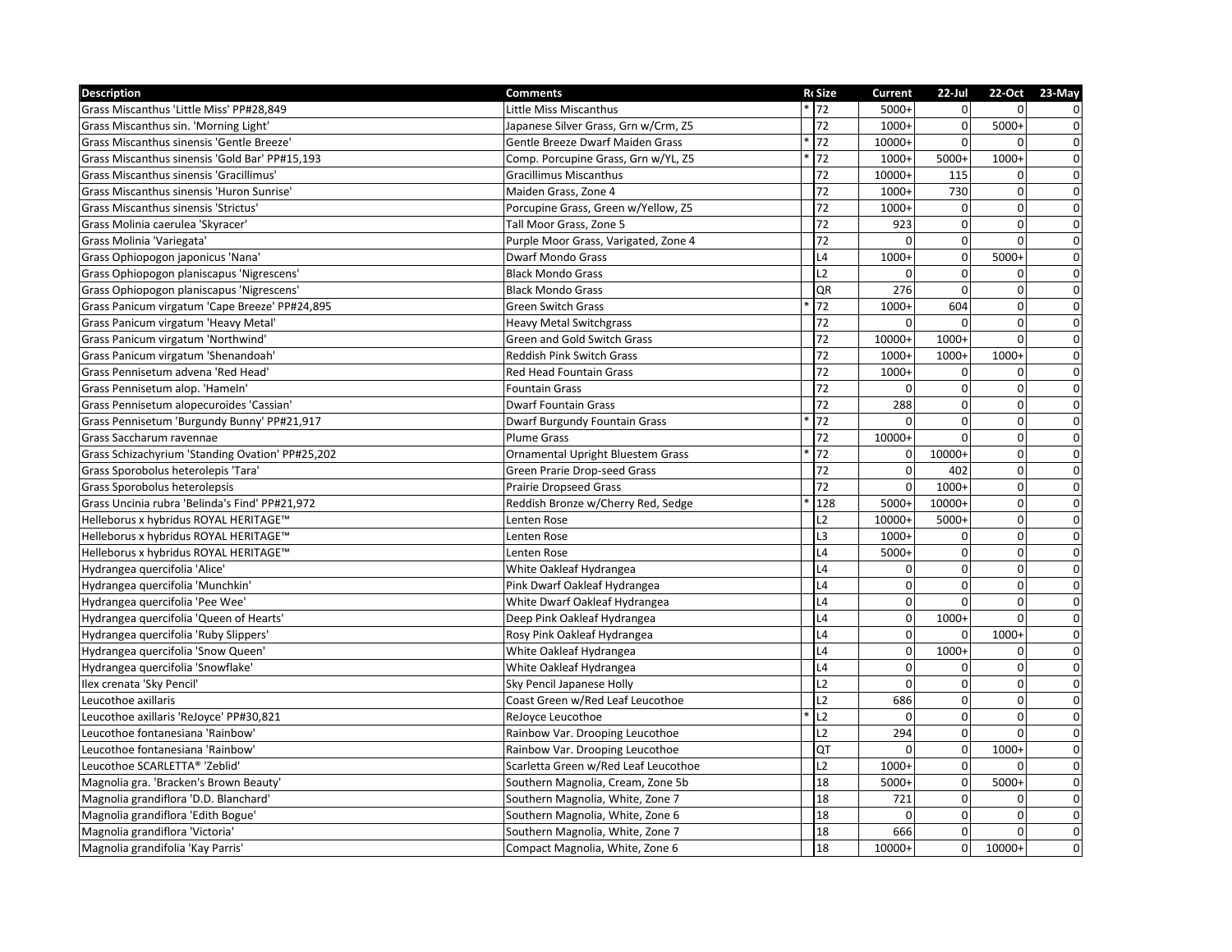| Description                                      | <b>Comments</b>                      | <b>RcSize</b>   | Current        | $22$ -Jul      |                | 22-Oct 23-May  |
|--------------------------------------------------|--------------------------------------|-----------------|----------------|----------------|----------------|----------------|
| Grass Miscanthus 'Little Miss' PP#28,849         | Little Miss Miscanthus               | $* 72$          | 5000+          | $\Omega$       | $\Omega$       | $\mathbf 0$    |
| Grass Miscanthus sin. 'Morning Light'            | Japanese Silver Grass, Grn w/Crm, Z5 | 72              | $1000+$        | $\overline{0}$ | $5000+$        | $\pmb{0}$      |
| Grass Miscanthus sinensis 'Gentle Breeze'        | Gentle Breeze Dwarf Maiden Grass     | 72              | 10000+         | $\overline{0}$ | $\Omega$       | $\overline{0}$ |
| Grass Miscanthus sinensis 'Gold Bar' PP#15,193   | Comp. Porcupine Grass, Grn w/YL, Z5  | 72              | 1000+          | 5000+          | 1000+          | $\overline{0}$ |
| Grass Miscanthus sinensis 'Gracillimus'          | <b>Gracillimus Miscanthus</b>        | 72              | 10000+         | 115            | 0              | $\overline{0}$ |
| Grass Miscanthus sinensis 'Huron Sunrise'        | Maiden Grass, Zone 4                 | 72              | 1000+          | 730            | 0              | $\overline{0}$ |
| Grass Miscanthus sinensis 'Strictus'             | Porcupine Grass, Green w/Yellow, Z5  | 72              | 1000+          | $\mathbf 0$    | $\mathbf 0$    | $\pmb{0}$      |
| Grass Molinia caerulea 'Skyracer'                | Tall Moor Grass, Zone 5              | 72              | 923            | $\Omega$       | $\Omega$       | $\overline{0}$ |
| Grass Molinia 'Variegata'                        | Purple Moor Grass, Varigated, Zone 4 | 72              | $\Omega$       | $\mathbf{0}$   | $\mathbf 0$    | $\overline{0}$ |
| Grass Ophiopogon japonicus 'Nana'                | <b>Dwarf Mondo Grass</b>             | L4              | 1000+          | $\mathbf 0$    | $5000+$        | $\overline{0}$ |
| Grass Ophiopogon planiscapus 'Nigrescens'        | <b>Black Mondo Grass</b>             | L2              |                | $\Omega$       | 0              | $\mathbf 0$    |
| Grass Ophiopogon planiscapus 'Nigrescens'        | <b>Black Mondo Grass</b>             | QR              | 276            | $\Omega$       | 0              | $\pmb{0}$      |
| Grass Panicum virgatum 'Cape Breeze' PP#24,895   | <b>Green Switch Grass</b>            | 72              | $1000+$        | 604            | $\pmb{0}$      | $\pmb{0}$      |
| Grass Panicum virgatum 'Heavy Metal'             | <b>Heavy Metal Switchgrass</b>       | 72              | $\Omega$       | $\Omega$       | $\mathbf{0}$   | $\overline{0}$ |
| Grass Panicum virgatum 'Northwind'               | Green and Gold Switch Grass          | 72              | 10000+         | $1000+$        | 0              | $\overline{0}$ |
| Grass Panicum virgatum 'Shenandoah'              | Reddish Pink Switch Grass            | 72              | 1000+          | $1000+$        | 1000+          | $\overline{0}$ |
| Grass Pennisetum advena 'Red Head'               | <b>Red Head Fountain Grass</b>       | $\overline{72}$ | $1000+$        | $\Omega$       | 0              | $\overline{0}$ |
| Grass Pennisetum alop. 'Hameln'                  | <b>Fountain Grass</b>                | $\overline{72}$ | $\Omega$       | $\mathbf{0}$   | $\mathbf{0}$   | $\pmb{0}$      |
| Grass Pennisetum alopecuroides 'Cassian'         | <b>Dwarf Fountain Grass</b>          | 72              | 288            | $\mathbf{0}$   | $\pmb{0}$      | $\pmb{0}$      |
| Grass Pennisetum 'Burgundy Bunny' PP#21,917      | Dwarf Burgundy Fountain Grass        | 72              | $\Omega$       | $\Omega$       | $\mathbf 0$    | $\pmb{0}$      |
| Grass Saccharum ravennae                         | <b>Plume Grass</b>                   | 72              | 10000+         | $\mathbf{0}$   | $\pmb{0}$      | $\overline{0}$ |
| Grass Schizachyrium 'Standing Ovation' PP#25,202 | Ornamental Upright Bluestem Grass    | 72              | $\mathbf 0$    | 10000+         | $\pmb{0}$      | $\overline{0}$ |
| Grass Sporobolus heterolepis 'Tara'              | Green Prarie Drop-seed Grass         | 72              | $\Omega$       | 402            | $\mathbf 0$    | $\pmb{0}$      |
| Grass Sporobolus heterolepsis                    | <b>Prairie Dropseed Grass</b>        | 72              | $\overline{0}$ | $1000+$        | $\mathbf 0$    | $\overline{0}$ |
| Grass Uncinia rubra 'Belinda's Find' PP#21,972   | Reddish Bronze w/Cherry Red, Sedge   | 128             | 5000+          | 10000+         | $\pmb{0}$      | $\overline{0}$ |
| Helleborus x hybridus ROYAL HERITAGE™            | Lenten Rose                          | L2              | 10000+         | 5000+          | 0              | $\overline{0}$ |
| Helleborus x hybridus ROYAL HERITAGE™            | Lenten Rose                          | L <sub>3</sub>  | $1000+$        | $\Omega$       | $\mathbf 0$    | $\overline{0}$ |
| Helleborus x hybridus ROYAL HERITAGE™            | Lenten Rose                          | L4              | 5000+          | $\Omega$       | 0              | $\pmb{0}$      |
| Hydrangea quercifolia 'Alice'                    | White Oakleaf Hydrangea              | L4              | $\Omega$       | $\Omega$       | $\pmb{0}$      | $\overline{0}$ |
| Hydrangea quercifolia 'Munchkin'                 | Pink Dwarf Oakleaf Hydrangea         | L4              | $\Omega$       | $\Omega$       | $\mathbf 0$    | $\overline{0}$ |
| Hydrangea quercifolia 'Pee Wee'                  | White Dwarf Oakleaf Hydrangea        | L4              | $\overline{0}$ | $\Omega$       | 0              | $\pmb{0}$      |
| Hydrangea quercifolia 'Queen of Hearts'          | Deep Pink Oakleaf Hydrangea          | L4              | $\Omega$       | $1000+$        | $\Omega$       | $\overline{0}$ |
| Hydrangea quercifolia 'Ruby Slippers'            | Rosy Pink Oakleaf Hydrangea          | L4              | $\Omega$       | $\Omega$       | $1000+$        | $\overline{0}$ |
| Hydrangea quercifolia 'Snow Queen'               | White Oakleaf Hydrangea              | L4              | $\overline{0}$ | $1000+$        | 0              | $\overline{0}$ |
| Hydrangea quercifolia 'Snowflake'                | White Oakleaf Hydrangea              | L4              | $\Omega$       | $\Omega$       | $\Omega$       | $\pmb{0}$      |
| Ilex crenata 'Sky Pencil'                        | Sky Pencil Japanese Holly            | L2              | $\Omega$       | $\mathbf{0}$   | $\pmb{0}$      | $\overline{0}$ |
| Leucothoe axillaris                              | Coast Green w/Red Leaf Leucothoe     | L2              | 686            | $\mathbf{0}$   | $\pmb{0}$      | $\pmb{0}$      |
| Leucothoe axillaris 'ReJoyce' PP#30,821          | ReJoyce Leucothoe                    | L2              | $\Omega$       | $\Omega$       | 0              | $\overline{0}$ |
| Leucothoe fontanesiana 'Rainbow'                 | Rainbow Var. Drooping Leucothoe      | L2              | 294            | $\mathbf{0}$   | $\Omega$       | $\overline{0}$ |
| Leucothoe fontanesiana 'Rainbow'                 | Rainbow Var. Drooping Leucothoe      | QT              | $\Omega$       | $\mathbf{0}$   | 1000+          | $\pmb{0}$      |
| Leucothoe SCARLETTA® 'Zeblid'                    | Scarletta Green w/Red Leaf Leucothoe | L2              | $1000+$        | $\overline{0}$ | 0              | $\overline{0}$ |
| Magnolia gra. 'Bracken's Brown Beauty'           | Southern Magnolia, Cream, Zone 5b    | 18              | 5000+          | $\mathbf{0}$   | $5000+$        | $\pmb{0}$      |
| Magnolia grandiflora 'D.D. Blanchard'            | Southern Magnolia, White, Zone 7     | 18              | 721            | $\mathbf 0$    | 0              | $\pmb{0}$      |
| Magnolia grandiflora 'Edith Bogue'               | Southern Magnolia, White, Zone 6     | 18              | $\Omega$       | $\mathbf{0}$   | 0              | $\pmb{0}$      |
| Magnolia grandiflora 'Victoria'                  | Southern Magnolia, White, Zone 7     | 18              | 666            | $\mathbf{0}$   | $\overline{0}$ | $\mathbf{0}$   |
| Magnolia grandifolia 'Kay Parris'                | Compact Magnolia, White, Zone 6      | 18              | 10000+         | $\overline{0}$ | 10000+         | $\mathbf 0$    |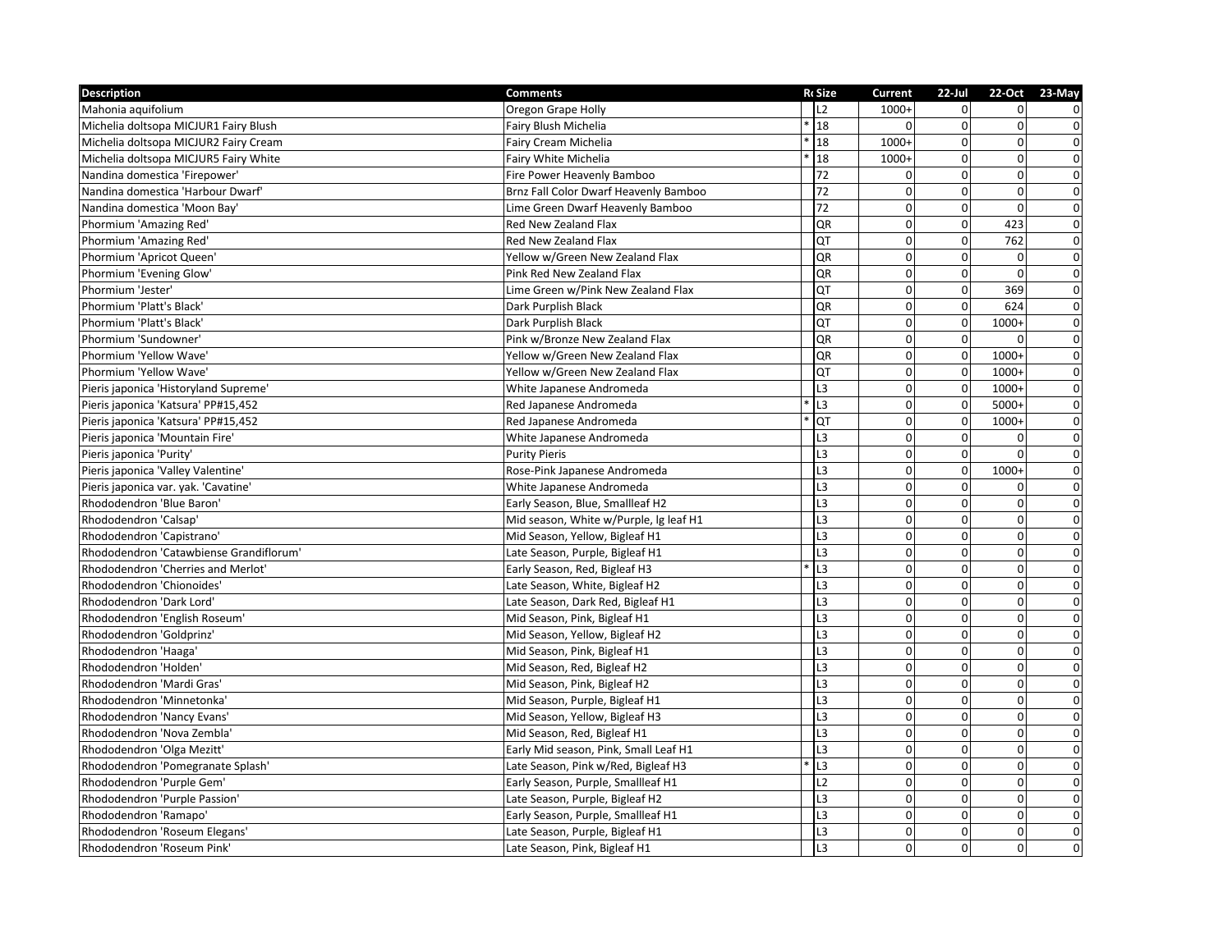| Description                             | <b>Comments</b>                        | <b>RcSize</b>  | Current        | $22$ -Jul      |                | 22-Oct 23-May           |
|-----------------------------------------|----------------------------------------|----------------|----------------|----------------|----------------|-------------------------|
| Mahonia aquifolium                      | Oregon Grape Holly                     | 12             | $1000+$        | $\Omega$       | $\Omega$       | $\mathbf 0$             |
| Michelia doltsopa MICJUR1 Fairy Blush   | Fairy Blush Michelia                   | 18             | $\Omega$       | $\overline{0}$ | $\mathbf 0$    | $\mathbf 0$             |
| Michelia doltsopa MICJUR2 Fairy Cream   | Fairy Cream Michelia                   | 18             | $1000+$        | $\overline{0}$ | $\overline{0}$ | $\mathbf 0$             |
| Michelia doltsopa MICJUR5 Fairy White   | Fairy White Michelia                   | 18             | $1000+$        | $\Omega$       | $\overline{0}$ | $\mathbf 0$             |
| Nandina domestica 'Firepower'           | Fire Power Heavenly Bamboo             | 72             | $\Omega$       | $\Omega$       | $\mathbf 0$    | $\overline{0}$          |
| Nandina domestica 'Harbour Dwarf'       | Brnz Fall Color Dwarf Heavenly Bamboo  | 72             | $\Omega$       | $\Omega$       | $\mathbf 0$    | $\overline{0}$          |
| Nandina domestica 'Moon Bay'            | Lime Green Dwarf Heavenly Bamboo       | 72             | $\mathbf 0$    | $\overline{0}$ | $\mathbf 0$    | $\pmb{0}$               |
| Phormium 'Amazing Red'                  | Red New Zealand Flax                   | QR             | $\Omega$       | $\overline{0}$ | 423            | $\mathbf 0$             |
| Phormium 'Amazing Red'                  | Red New Zealand Flax                   | QT             | $\mathbf 0$    | $\overline{0}$ | 762            | $\mathbf 0$             |
| Phormium 'Apricot Queen'                | Yellow w/Green New Zealand Flax        | QR             | $\Omega$       | $\Omega$       | $\mathbf 0$    | $\overline{0}$          |
| Phormium 'Evening Glow'                 | Pink Red New Zealand Flax              | QR             | $\Omega$       | $\Omega$       | $\Omega$       | $\pmb{0}$               |
| Phormium 'Jester'                       | Lime Green w/Pink New Zealand Flax     | QT             | $\mathbf 0$    | $\overline{0}$ | 369            | $\pmb{0}$               |
| Phormium 'Platt's Black'                | Dark Purplish Black                    | QR             | $\mathbf{0}$   | $\overline{0}$ | 624            | $\pmb{0}$               |
| Phormium 'Platt's Black'                | Dark Purplish Black                    | QT             | $\Omega$       | $\overline{0}$ | $1000+$        | $\pmb{0}$               |
| Phormium 'Sundowner'                    | Pink w/Bronze New Zealand Flax         | QR             | $\mathbf 0$    | $\overline{0}$ | 0              | $\mathbf 0$             |
| Phormium 'Yellow Wave'                  | Yellow w/Green New Zealand Flax        | QR             | $\mathbf 0$    | $\mathbf 0$    | $1000+$        | $\mathbf 0$             |
| Phormium 'Yellow Wave'                  | Yellow w/Green New Zealand Flax        | QT             | $\Omega$       | $\Omega$       | $1000+$        | $\pmb{0}$               |
| Pieris japonica 'Historyland Supreme'   | White Japanese Andromeda               | L3             | $\mathbf{0}$   | $\overline{0}$ | $1000+$        | $\mathbf 0$             |
| Pieris japonica 'Katsura' PP#15,452     | Red Japanese Andromeda                 | L3             | $\mathbf 0$    | $\overline{0}$ | 5000+          | $\mathbf 0$             |
| Pieris japonica 'Katsura' PP#15,452     | Red Japanese Andromeda                 | QT             | $\Omega$       | $\Omega$       | $1000+$        | $\mathbf 0$             |
| Pieris japonica 'Mountain Fire'         | White Japanese Andromeda               | L <sub>3</sub> | $\mathbf 0$    | $\overline{0}$ | 0              | $\overline{0}$          |
| Pieris japonica 'Purity'                | <b>Purity Pieris</b>                   | L <sub>3</sub> | $\mathbf 0$    | $\overline{0}$ | $\mathbf 0$    | $\overline{0}$          |
| Pieris japonica 'Valley Valentine'      | Rose-Pink Japanese Andromeda           | L <sub>3</sub> | $\Omega$       | $\Omega$       | $1000+$        | $\pmb{0}$               |
| Pieris japonica var. yak. 'Cavatine'    | White Japanese Andromeda               | L <sub>3</sub> | $\mathbf 0$    | $\overline{0}$ | $\Omega$       | $\pmb{0}$               |
| Rhododendron 'Blue Baron'               | Early Season, Blue, Smallleaf H2       | L3             | $\mathbf 0$    | $\overline{0}$ | $\overline{0}$ | $\overline{\mathbf{0}}$ |
| Rhododendron 'Calsap'                   | Mid season, White w/Purple, lg leaf H1 | L <sub>3</sub> | $\Omega$       | $\Omega$       | $\mathbf 0$    | $\overline{0}$          |
| Rhododendron 'Capistrano'               | Mid Season, Yellow, Bigleaf H1         | L <sub>3</sub> | $\Omega$       | $\Omega$       | $\mathbf 0$    | $\overline{0}$          |
| Rhododendron 'Catawbiense Grandiflorum' | Late Season, Purple, Bigleaf H1        | L <sub>3</sub> | $\mathbf 0$    | $\Omega$       | $\mathbf 0$    | $\pmb{0}$               |
| Rhododendron 'Cherries and Merlot'      | Early Season, Red, Bigleaf H3          | L3             | $\mathbf 0$    | $\Omega$       | $\mathbf 0$    | $\mathsf{o}$            |
| Rhododendron 'Chionoides'               | Late Season, White, Bigleaf H2         | L <sub>3</sub> | $\Omega$       | $\Omega$       | $\overline{0}$ | $\mathsf{o}$            |
| Rhododendron 'Dark Lord'                | Late Season, Dark Red, Bigleaf H1      | L <sub>3</sub> | $\mathbf 0$    | $\overline{0}$ | $\mathbf 0$    | $\mathbf 0$             |
| Rhododendron 'English Roseum'           | Mid Season, Pink, Bigleaf H1           | L <sub>3</sub> | $\Omega$       | $\Omega$       | $\mathbf 0$    | $\overline{0}$          |
| Rhododendron 'Goldprinz'                | Mid Season, Yellow, Bigleaf H2         | L <sub>3</sub> | $\Omega$       | $\Omega$       | $\overline{0}$ | $\overline{0}$          |
| Rhododendron 'Haaga'                    | Mid Season, Pink, Bigleaf H1           | L <sub>3</sub> | $\mathbf 0$    | $\overline{0}$ | $\mathbf 0$    | $\overline{0}$          |
| Rhododendron 'Holden'                   | Mid Season, Red, Bigleaf H2            | L <sub>3</sub> | $\Omega$       | $\Omega$       | $\Omega$       | $\mathsf{o}$            |
| Rhododendron 'Mardi Gras'               | Mid Season, Pink, Bigleaf H2           | L <sub>3</sub> | $\mathbf 0$    | $\Omega$       | $\overline{0}$ | $\overline{0}$          |
| Rhododendron 'Minnetonka'               | Mid Season, Purple, Bigleaf H1         | L3             | $\mathbf 0$    | $\overline{0}$ | $\pmb{0}$      | $\overline{\mathbf{0}}$ |
| Rhododendron 'Nancy Evans'              | Mid Season, Yellow, Bigleaf H3         | L <sub>3</sub> | $\Omega$       | $\Omega$       | $\overline{0}$ | $\overline{0}$          |
| Rhododendron 'Nova Zembla'              | Mid Season, Red, Bigleaf H1            | L <sub>3</sub> | $\mathbf 0$    | $\overline{0}$ | 0              | $\overline{0}$          |
| Rhododendron 'Olga Mezitt'              | Early Mid season, Pink, Small Leaf H1  | L <sub>3</sub> | $\mathbf{0}$   | $\overline{0}$ | $\overline{0}$ | $\overline{0}$          |
| Rhododendron 'Pomegranate Splash'       | Late Season, Pink w/Red, Bigleaf H3    | L3             | $\mathbf 0$    | $\overline{0}$ | $\overline{0}$ | $\pmb{\mathsf{O}}$      |
| Rhododendron 'Purple Gem'               | Early Season, Purple, Smallleaf H1     | L2             | $\Omega$       | $\Omega$       | $\mathbf 0$    | $\pmb{0}$               |
| Rhododendron 'Purple Passion'           | Late Season, Purple, Bigleaf H2        | L <sub>3</sub> | $\Omega$       | $\Omega$       | $\mathbf 0$    | $\pmb{0}$               |
| Rhododendron 'Ramapo'                   | Early Season, Purple, Smallleaf H1     | L3             | $\mathbf 0$    | $\overline{0}$ | $\mathbf 0$    | $\pmb{0}$               |
| Rhododendron 'Roseum Elegans'           | Late Season, Purple, Bigleaf H1        | L <sub>3</sub> | $\overline{0}$ | $\overline{0}$ | $\overline{0}$ | $\pmb{0}$               |
| Rhododendron 'Roseum Pink'              | Late Season, Pink, Bigleaf H1          | L <sub>3</sub> | $\Omega$       | $\overline{0}$ | $\overline{0}$ | $\mathbf 0$             |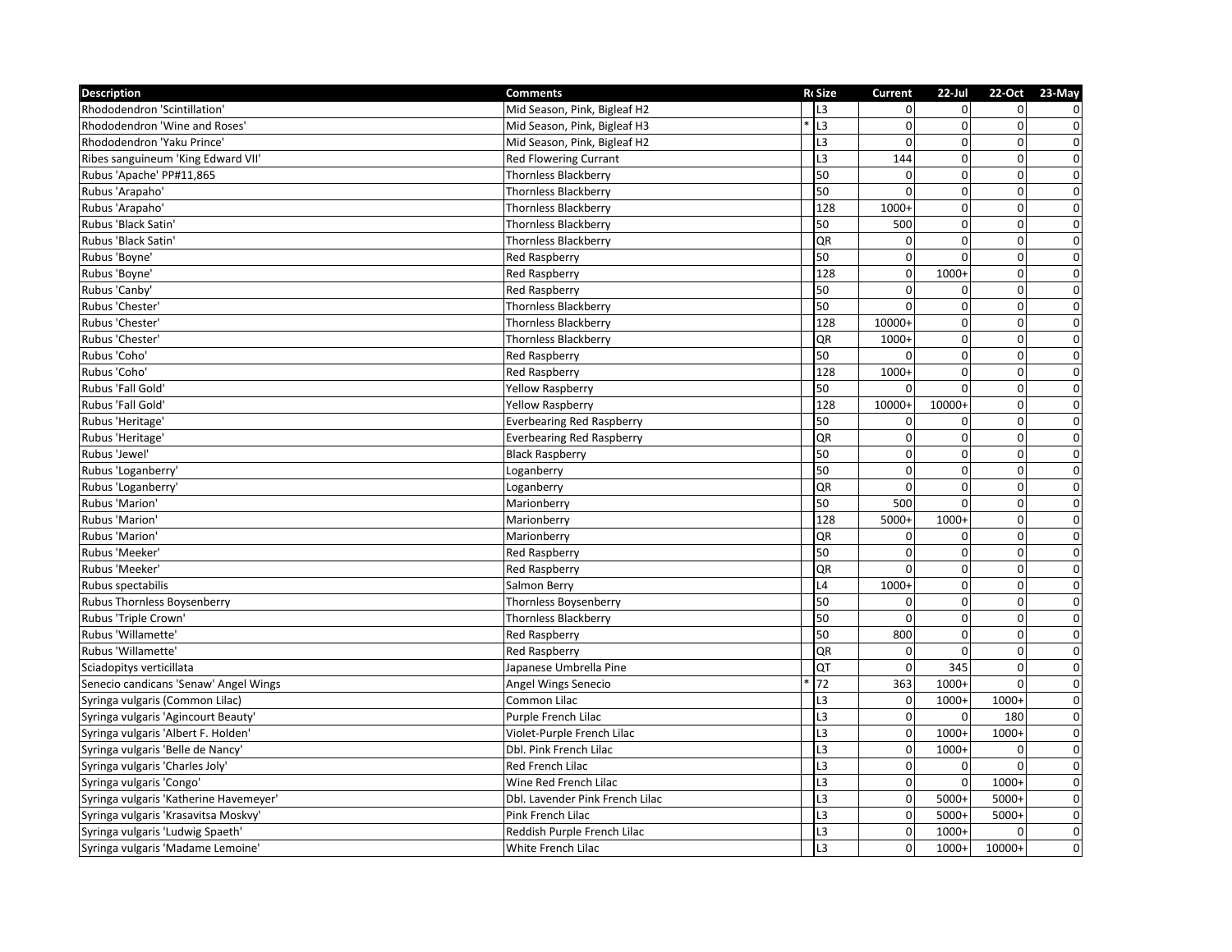| <b>Description</b>                     | <b>Comments</b>                  | Ro Size        | <b>Current</b> | $22$ -Jul      |                | 22-Oct 23-May           |
|----------------------------------------|----------------------------------|----------------|----------------|----------------|----------------|-------------------------|
| Rhododendron 'Scintillation'           | Mid Season, Pink, Bigleaf H2     | L3             | $\overline{0}$ | $\Omega$       | $\overline{0}$ | $\mathbf 0$             |
| Rhododendron 'Wine and Roses'          | Mid Season, Pink, Bigleaf H3     | L <sub>3</sub> | $\Omega$       | $\Omega$       | 0              | $\mathbf 0$             |
| Rhododendron 'Yaku Prince'             | Mid Season, Pink, Bigleaf H2     | L3             | $\Omega$       | $\Omega$       | $\overline{0}$ | $\pmb{0}$               |
| Ribes sanguineum 'King Edward VII'     | <b>Red Flowering Currant</b>     | L <sub>3</sub> | 144            | $\overline{0}$ | $\mathbf 0$    | $\overline{0}$          |
| Rubus 'Apache' PP#11,865               | <b>Thornless Blackberry</b>      | 50             | $\Omega$       | $\Omega$       | $\mathbf 0$    | $\pmb{0}$               |
| Rubus 'Arapaho'                        | <b>Thornless Blackberry</b>      | 50             | $\Omega$       | $\Omega$       | $\mathbf 0$    | $\pmb{0}$               |
| Rubus 'Arapaho'                        | <b>Thornless Blackberry</b>      | 128            | $1000+$        | $\overline{0}$ | $\mathbf 0$    | $\pmb{0}$               |
| Rubus 'Black Satin'                    | <b>Thornless Blackberry</b>      | 50             | 500            | $\Omega$       | $\overline{0}$ | $\overline{0}$          |
| Rubus 'Black Satin'                    | <b>Thornless Blackberry</b>      | QR             | $\Omega$       | $\Omega$       | $\overline{0}$ | $\overline{0}$          |
| Rubus 'Boyne'                          | <b>Red Raspberry</b>             | 50             | $\Omega$       | $\Omega$       | $\pmb{0}$      | $\pmb{0}$               |
| Rubus 'Boyne'                          | <b>Red Raspberry</b>             | 128            | $\mathbf 0$    | 1000+          | $\mathbf 0$    | $\pmb{0}$               |
| Rubus 'Canby'                          | Red Raspberry                    | 50             | $\Omega$       | $\Omega$       | 0              | $\pmb{0}$               |
| Rubus 'Chester'                        | <b>Thornless Blackberry</b>      | 50             | $\Omega$       | $\Omega$       | $\mathbf 0$    | $\mathbf 0$             |
| Rubus 'Chester'                        | <b>Thornless Blackberry</b>      | 128            | 10000+         | $\overline{0}$ | $\overline{0}$ | $\pmb{0}$               |
| Rubus 'Chester'                        | <b>Thornless Blackberry</b>      | QR             | $1000+$        | $\Omega$       | $\mathbf 0$    | $\pmb{0}$               |
| Rubus 'Coho'                           | Red Raspberry                    | 50             |                | $\overline{0}$ | $\mathbf 0$    | $\overline{0}$          |
| Rubus 'Coho'                           | <b>Red Raspberry</b>             | 128            | $1000+$        | $\Omega$       | $\mathbf 0$    | $\mathbf 0$             |
| Rubus 'Fall Gold'                      | <b>Yellow Raspberry</b>          | 50             | $\Omega$       | $\Omega$       | $\Omega$       | $\pmb{0}$               |
| Rubus 'Fall Gold'                      | <b>Yellow Raspberry</b>          | 128            | 10000+         | 10000+         | $\overline{0}$ | $\overline{0}$          |
| Rubus 'Heritage'                       | <b>Everbearing Red Raspberry</b> | 50             | $\Omega$       | $\Omega$       | $\mathbf 0$    | $\overline{0}$          |
| Rubus 'Heritage'                       | <b>Everbearing Red Raspberry</b> | QR             | $\Omega$       | $\Omega$       | 0              | $\pmb{0}$               |
| Rubus 'Jewel'                          | <b>Black Raspberry</b>           | 50             | $\Omega$       | $\Omega$       | 0              | $\overline{0}$          |
| Rubus 'Loganberry'                     | Loganberry                       | 50             | $\mathbf 0$    | $\overline{0}$ | $\mathbf 0$    | $\pmb{0}$               |
| Rubus 'Loganberry'                     | Loganberry                       | QR             | $\mathbf 0$    | $\overline{0}$ | $\overline{0}$ | $\pmb{0}$               |
| Rubus 'Marion'                         | Marionberry                      | 50             | 500            | $\Omega$       | $\mathbf 0$    | $\overline{\mathbf{0}}$ |
| Rubus 'Marion'                         | Marionberry                      | 128            | 5000+          | 1000+          | $\mathbf 0$    | $\overline{0}$          |
| Rubus 'Marion'                         | Marionberry                      | QR             | $\Omega$       | $\Omega$       | $\mathbf 0$    | $\pmb{0}$               |
| Rubus 'Meeker'                         | Red Raspberry                    | 50             | $\Omega$       | $\Omega$       | 0              | $\boldsymbol{0}$        |
| Rubus 'Meeker'                         | <b>Red Raspberry</b>             | QR             | $\Omega$       | $\overline{0}$ | $\mathbf 0$    | $\overline{\mathbf{0}}$ |
| Rubus spectabilis                      | Salmon Berry                     | L4             | 1000+          | $\overline{0}$ | $\pmb{0}$      | $\pmb{0}$               |
| Rubus Thornless Boysenberry            | <b>Thornless Boysenberry</b>     | 50             |                | $\Omega$       | 0              | $\pmb{0}$               |
| Rubus 'Triple Crown'                   | <b>Thornless Blackberry</b>      | 50             | $\Omega$       | $\Omega$       | $\mathbf 0$    | $\overline{0}$          |
| Rubus 'Willamette'                     | <b>Red Raspberry</b>             | 50             | 800            | $\Omega$       | $\mathbf 0$    | $\pmb{0}$               |
| Rubus 'Willamette'                     | <b>Red Raspberry</b>             | QR             | $\Omega$       | $\Omega$       | $\Omega$       | $\overline{0}$          |
| Sciadopitys verticillata               | Japanese Umbrella Pine           | QT             | $\Omega$       | 345            | $\Omega$       | $\mathbf 0$             |
| Senecio candicans 'Senaw' Angel Wings  | Angel Wings Senecio              | 72             | 363            | 1000+          | 0              | $\pmb{0}$               |
| Syringa vulgaris (Common Lilac)        | Common Lilac                     | L3             | $\mathbf 0$    | 1000+          | $1000+$        | $\pmb{0}$               |
| Syringa vulgaris 'Agincourt Beauty'    | Purple French Lilac              | L <sub>3</sub> | $\Omega$       | $\Omega$       | 180            | $\pmb{0}$               |
| Syringa vulgaris 'Albert F. Holden'    | Violet-Purple French Lilac       | L <sub>3</sub> | $\mathbf 0$    | $1000+$        | $1000+$        | $\overline{0}$          |
| Syringa vulgaris 'Belle de Nancy'      | Dbl. Pink French Lilac           | L <sub>3</sub> | $\mathbf{0}$   | $1000+$        | 0              | $\pmb{0}$               |
| Syringa vulgaris 'Charles Joly'        | Red French Lilac                 | L <sub>3</sub> | $\mathbf 0$    | $\Omega$       | $\Omega$       | $\pmb{0}$               |
| Syringa vulgaris 'Congo'               | Wine Red French Lilac            | L <sub>3</sub> | $\mathbf 0$    | $\Omega$       | $1000+$        | $\pmb{0}$               |
| Syringa vulgaris 'Katherine Havemeyer' | Dbl. Lavender Pink French Lilac  | L <sub>3</sub> | $\Omega$       | 5000+          | $5000+$        | $\pmb{0}$               |
| Syringa vulgaris 'Krasavitsa Moskvy'   | Pink French Lilac                | L3             | $\Omega$       | 5000+          | $5000+$        | $\pmb{0}$               |
| Syringa vulgaris 'Ludwig Spaeth'       | Reddish Purple French Lilac      | L <sub>3</sub> | $\mathbf 0$    | $1000+$        | $\Omega$       | $\boldsymbol{0}$        |
| Syringa vulgaris 'Madame Lemoine'      | White French Lilac               | L3             | $\mathbf{0}$   | 1000+          | 10000+         | $\mathbf 0$             |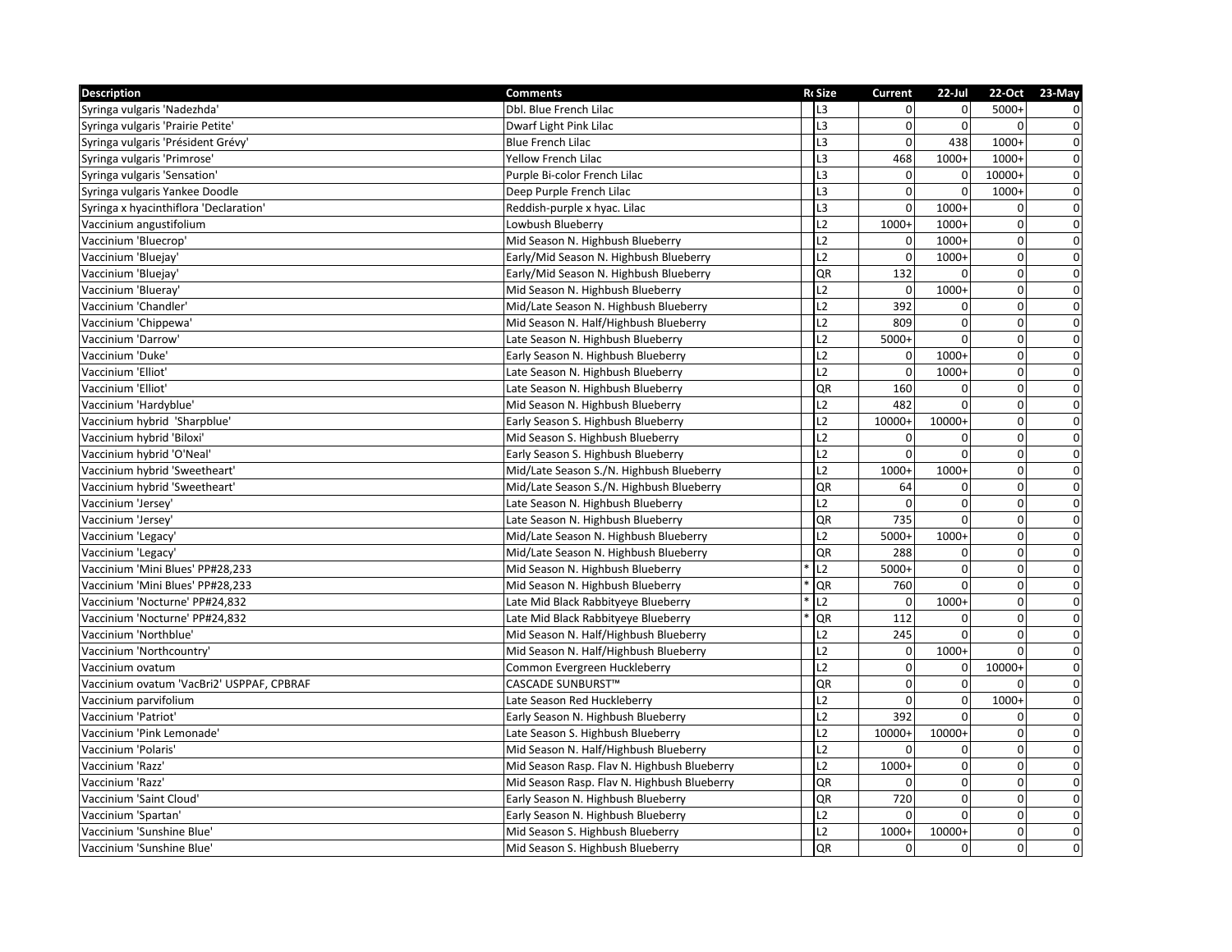| <b>Description</b>                        | <b>Comments</b>                             | <b>RcSize</b>  | Current        | $22$ -Jul      |              | 22-Oct 23-May  |
|-------------------------------------------|---------------------------------------------|----------------|----------------|----------------|--------------|----------------|
| Syringa vulgaris 'Nadezhda'               | Dbl. Blue French Lilac                      | L <sub>3</sub> | $\Omega$       |                | $5000+$      | $\mathbf 0$    |
| Syringa vulgaris 'Prairie Petite'         | Dwarf Light Pink Lilac                      | L <sub>3</sub> | $\Omega$       | $\Omega$       | $\Omega$     | $\overline{0}$ |
| Syringa vulgaris 'Président Grévy'        | <b>Blue French Lilac</b>                    | L3             | $\Omega$       | 438            | $1000+$      | $\mathbf 0$    |
| Syringa vulgaris 'Primrose'               | <b>Yellow French Lilac</b>                  | L <sub>3</sub> | 468            | $1000+$        | $1000+$      | $\mathbf 0$    |
| Syringa vulgaris 'Sensation'              | Purple Bi-color French Lilac                | L <sub>3</sub> | $\Omega$       | $\overline{0}$ | 10000+       | $\pmb{0}$      |
| Syringa vulgaris Yankee Doodle            | Deep Purple French Lilac                    | L <sub>3</sub> | $\Omega$       | $\mathbf 0$    | 1000+        | $\pmb{0}$      |
| Syringa x hyacinthiflora 'Declaration'    | Reddish-purple x hyac. Lilac                | L <sub>3</sub> | $\Omega$       | $1000+$        | $\mathbf 0$  | $\overline{0}$ |
| Vaccinium angustifolium                   | Lowbush Blueberry                           | L2             | 1000+          | 1000+          | $\mathbf{0}$ | $\overline{0}$ |
| Vaccinium 'Bluecrop'                      | Mid Season N. Highbush Blueberry            | L2             | $\Omega$       | $1000+$        | $\pmb{0}$    | $\overline{0}$ |
| Vaccinium 'Bluejay'                       | Early/Mid Season N. Highbush Blueberry      | L <sub>2</sub> | $\Omega$       | 1000+          | $\mathbf 0$  | $\overline{0}$ |
| Vaccinium 'Bluejay'                       | Early/Mid Season N. Highbush Blueberry      | QR             | 132            |                | $\mathbf 0$  | $\overline{0}$ |
| Vaccinium 'Blueray'                       | Mid Season N. Highbush Blueberry            | L2             | $\Omega$       | $1000+$        | $\pmb{0}$    | $\pmb{0}$      |
| Vaccinium 'Chandler'                      | Mid/Late Season N. Highbush Blueberry       | L2             | 392            | $\Omega$       | $\mathbf 0$  | $\mathbf 0$    |
| Vaccinium 'Chippewa'                      | Mid Season N. Half/Highbush Blueberry       | L2             | 809            | $\mathbf{0}$   | $\pmb{0}$    | $\overline{0}$ |
| Vaccinium 'Darrow'                        | Late Season N. Highbush Blueberry           | L2             | 5000+          | $\Omega$       | $\pmb{0}$    | $\overline{0}$ |
| Vaccinium 'Duke'                          | Early Season N. Highbush Blueberry          | L2             | $\Omega$       | 1000+          | $\pmb{0}$    | $\pmb{0}$      |
| Vaccinium 'Elliot'                        | Late Season N. Highbush Blueberry           | L2             | $\Omega$       | 1000+          | $\pmb{0}$    | $\pmb{0}$      |
| Vaccinium 'Elliot'                        | Late Season N. Highbush Blueberry           | QR             | 160            | $\Omega$       | $\pmb{0}$    | $\pmb{0}$      |
| Vaccinium 'Hardyblue'                     | Mid Season N. Highbush Blueberry            | L2             | 482            | $\Omega$       | $\mathbf 0$  | $\overline{0}$ |
| Vaccinium hybrid 'Sharpblue'              | Early Season S. Highbush Blueberry          | L2             | 10000+         | 10000+         | $\pmb{0}$    | $\overline{0}$ |
| Vaccinium hybrid 'Biloxi'                 | Mid Season S. Highbush Blueberry            | L2             | $\Omega$       | $\Omega$       | 0            | $\overline{0}$ |
| Vaccinium hybrid 'O'Neal'                 | Early Season S. Highbush Blueberry          | L2             | $\Omega$       |                | $\mathbf 0$  | $\pmb{0}$      |
| Vaccinium hybrid 'Sweetheart'             | Mid/Late Season S./N. Highbush Blueberry    | L2             | 1000+          | 1000+          | $\pmb{0}$    | $\pmb{0}$      |
| Vaccinium hybrid 'Sweetheart'             | Mid/Late Season S./N. Highbush Blueberry    | QR             | 64             | $\Omega$       | $\pmb{0}$    | $\pmb{0}$      |
| Vaccinium 'Jersey'                        | Late Season N. Highbush Blueberry           | L <sub>2</sub> | $\Omega$       | $\Omega$       | $\pmb{0}$    | $\overline{0}$ |
| Vaccinium 'Jersey'                        | Late Season N. Highbush Blueberry           | QR             | 735            | $\mathbf{0}$   | $\pmb{0}$    | $\overline{0}$ |
| Vaccinium 'Legacy'                        | Mid/Late Season N. Highbush Blueberry       | L2             | $5000+$        | 1000+          | $\mathbf 0$  | $\overline{0}$ |
| Vaccinium 'Legacy'                        | Mid/Late Season N. Highbush Blueberry       | QR             | 288            | $\Omega$       | 0            | $\pmb{0}$      |
| Vaccinium 'Mini Blues' PP#28,233          | Mid Season N. Highbush Blueberry            | L2             | 5000+          | $\mathbf{0}$   | $\pmb{0}$    | $\overline{0}$ |
| Vaccinium 'Mini Blues' PP#28,233          | Mid Season N. Highbush Blueberry            | QR             | 760            | $\Omega$       | $\mathbf 0$  | $\pmb{0}$      |
| Vaccinium 'Nocturne' PP#24,832            | Late Mid Black Rabbityeye Blueberry         | L <sub>2</sub> | $\Omega$       | $1000+$        | $\pmb{0}$    | $\overline{0}$ |
| Vaccinium 'Nocturne' PP#24,832            | Late Mid Black Rabbityeye Blueberry         | QR             | 112            | $\Omega$       | $\mathbf 0$  | $\overline{0}$ |
| Vaccinium 'Northblue'                     | Mid Season N. Half/Highbush Blueberry       | L2             | 245            | $\Omega$       | 0            | $\pmb{0}$      |
| Vaccinium 'Northcountry'                  | Mid Season N. Half/Highbush Blueberry       | L2             | $\overline{0}$ | $1000+$        | $\mathbf 0$  | $\overline{0}$ |
| Vaccinium ovatum                          | Common Evergreen Huckleberry                | L2             | $\Omega$       | $\overline{0}$ | 10000+       | $\pmb{0}$      |
| Vaccinium ovatum 'VacBri2' USPPAF, CPBRAF | CASCADE SUNBURST™                           | QR             | $\Omega$       | $\mathbf{0}$   | $\Omega$     | $\pmb{0}$      |
| Vaccinium parvifolium                     | Late Season Red Huckleberry                 | L2             | $\Omega$       | $\mathbf{0}$   | 1000+        | $\pmb{0}$      |
| Vaccinium 'Patriot'                       | Early Season N. Highbush Blueberry          | L2             | 392            | $\Omega$       | 0            | $\overline{0}$ |
| Vaccinium 'Pink Lemonade'                 | Late Season S. Highbush Blueberry           | L2             | 10000+         | 10000+         | $\mathbf 0$  | $\pmb{0}$      |
| Vaccinium 'Polaris'                       | Mid Season N. Half/Highbush Blueberry       | L2             | $\Omega$       | $\Omega$       | $\mathbf{0}$ | $\overline{0}$ |
| Vaccinium 'Razz'                          | Mid Season Rasp. Flav N. Highbush Blueberry | L2             | $1000+$        | $\mathbf{0}$   | $\pmb{0}$    | $\overline{0}$ |
| Vaccinium 'Razz'                          | Mid Season Rasp. Flav N. Highbush Blueberry | QR             |                | $\overline{0}$ | $\mathbf 0$  | $\mathbf 0$    |
| Vaccinium 'Saint Cloud'                   | Early Season N. Highbush Blueberry          | QR             | 720            | $\overline{0}$ | $\mathbf 0$  | $\pmb{0}$      |
| Vaccinium 'Spartan'                       | Early Season N. Highbush Blueberry          | L2             |                | $\Omega$       | 0            | $\pmb{0}$      |
| Vaccinium 'Sunshine Blue'                 | Mid Season S. Highbush Blueberry            | L2             | $1000+$        | 10000+         | $\mathbf{0}$ | $\mathbf 0$    |
| Vaccinium 'Sunshine Blue'                 | Mid Season S. Highbush Blueberry            | <b>QR</b>      | $\Omega$       | $\mathbf{0}$   | $\mathbf{0}$ | $\mathbf 0$    |